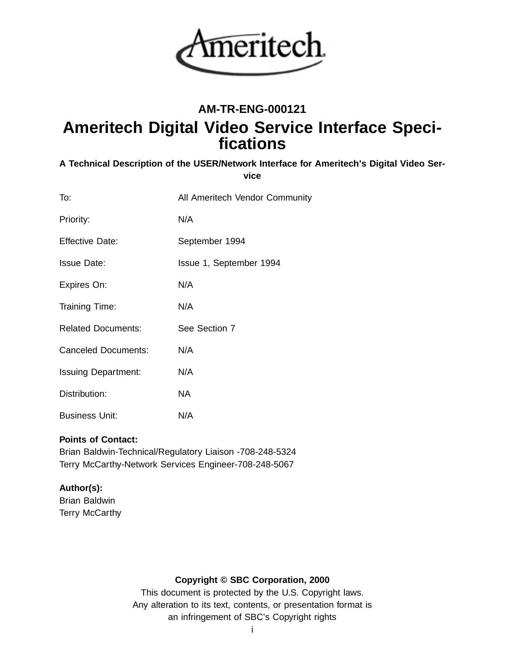

# **AM-TR-ENG-000121 Ameritech Digital Video Service Interface Specifications**

#### **A Technical Description of the USER/Network Interface for Ameritech's Digital Video Service**

| To:                        | All Ameritech Vendor Community |
|----------------------------|--------------------------------|
| Priority:                  | N/A                            |
| <b>Effective Date:</b>     | September 1994                 |
| <b>Issue Date:</b>         | Issue 1, September 1994        |
| Expires On:                | N/A                            |
| Training Time:             | N/A                            |
| <b>Related Documents:</b>  | See Section 7                  |
| <b>Canceled Documents:</b> | N/A                            |
| <b>Issuing Department:</b> | N/A                            |
| Distribution:              | NA.                            |
| <b>Business Unit:</b>      | N/A                            |

## **Points of Contact:**

Brian Baldwin-Technical/Regulatory Liaison -708-248-5324 Terry McCarthy-Network Services Engineer-708-248-5067

## **Author(s):**

Brian Baldwin Terry McCarthy

## **Copyright © SBC Corporation, 2000**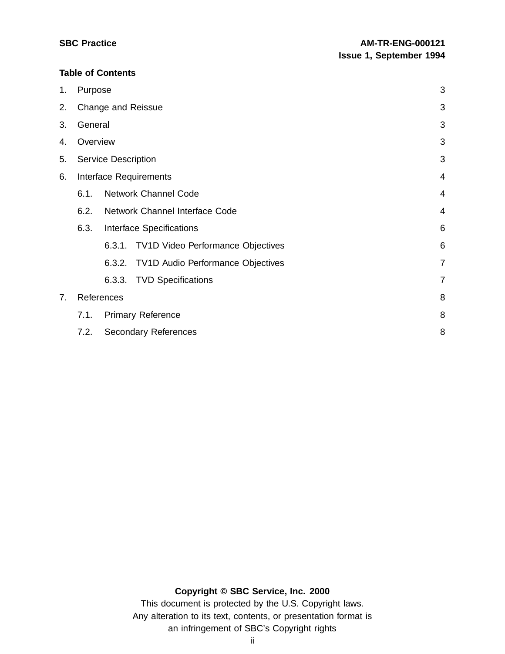#### **Table of Contents**

| 1. | Purpose  |                                          | 3              |
|----|----------|------------------------------------------|----------------|
| 2. |          | Change and Reissue                       | 3              |
| 3. | General  |                                          | 3              |
| 4. | Overview |                                          | 3              |
| 5. |          | <b>Service Description</b>               | 3              |
| 6. |          | <b>Interface Requirements</b>            | 4              |
|    | 6.1.     | <b>Network Channel Code</b>              | $\overline{4}$ |
|    | 6.2.     | Network Channel Interface Code           | 4              |
|    | 6.3.     | <b>Interface Specifications</b>          | 6              |
|    |          | 6.3.1. TV1D Video Performance Objectives | 6              |
|    |          | 6.3.2. TV1D Audio Performance Objectives | $\overline{7}$ |
|    |          | 6.3.3. TVD Specifications                | $\overline{7}$ |
| 7. |          | References                               | 8              |
|    | 7.1.     | <b>Primary Reference</b>                 | 8              |
|    | 7.2.     | <b>Secondary References</b>              | 8              |

#### **Copyright © SBC Service, Inc. 2000**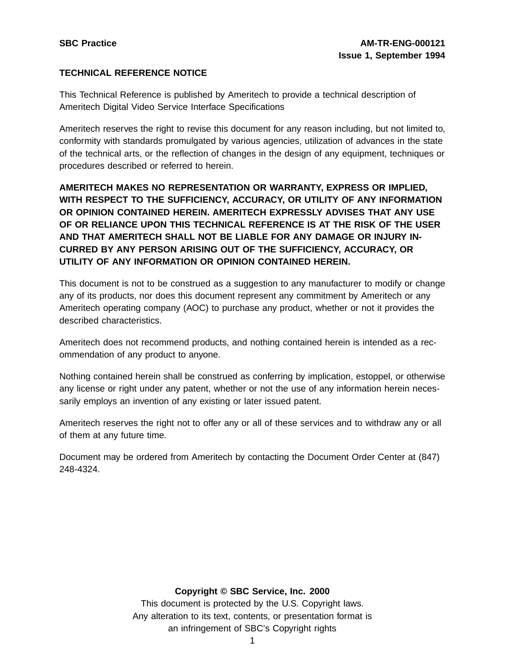#### **TECHNICAL REFERENCE NOTICE**

This Technical Reference is published by Ameritech to provide a technical description of Ameritech Digital Video Service Interface Specifications

Ameritech reserves the right to revise this document for any reason including, but not limited to, conformity with standards promulgated by various agencies, utilization of advances in the state of the technical arts, or the reflection of changes in the design of any equipment, techniques or procedures described or referred to herein.

**AMERITECH MAKES NO REPRESENTATION OR WARRANTY, EXPRESS OR IMPLIED, WITH RESPECT TO THE SUFFICIENCY, ACCURACY, OR UTILITY OF ANY INFORMATION OR OPINION CONTAINED HEREIN. AMERITECH EXPRESSLY ADVISES THAT ANY USE OF OR RELIANCE UPON THIS TECHNICAL REFERENCE IS AT THE RISK OF THE USER AND THAT AMERITECH SHALL NOT BE LIABLE FOR ANY DAMAGE OR INJURY IN-CURRED BY ANY PERSON ARISING OUT OF THE SUFFICIENCY, ACCURACY, OR UTILITY OF ANY INFORMATION OR OPINION CONTAINED HEREIN.**

This document is not to be construed as a suggestion to any manufacturer to modify or change any of its products, nor does this document represent any commitment by Ameritech or any Ameritech operating company (AOC) to purchase any product, whether or not it provides the described characteristics.

Ameritech does not recommend products, and nothing contained herein is intended as a recommendation of any product to anyone.

Nothing contained herein shall be construed as conferring by implication, estoppel, or otherwise any license or right under any patent, whether or not the use of any information herein necessarily employs an invention of any existing or later issued patent.

Ameritech reserves the right not to offer any or all of these services and to withdraw any or all of them at any future time.

Document may be ordered from Ameritech by contacting the Document Order Center at (847) 248-4324.

#### **Copyright © SBC Service, Inc. 2000**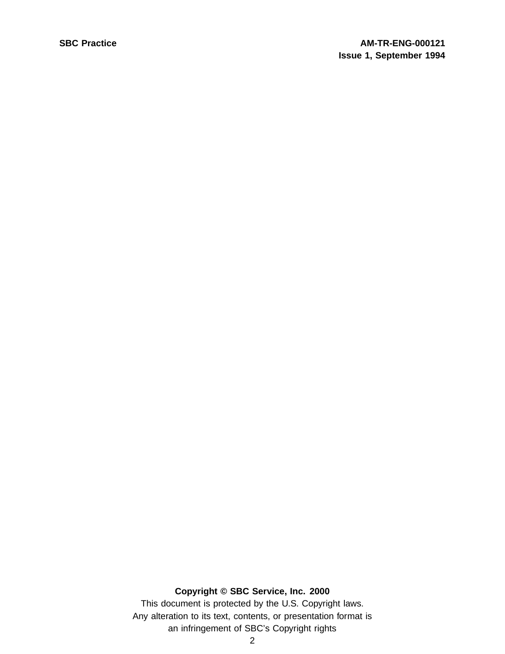## **Copyright © SBC Service, Inc. 2000**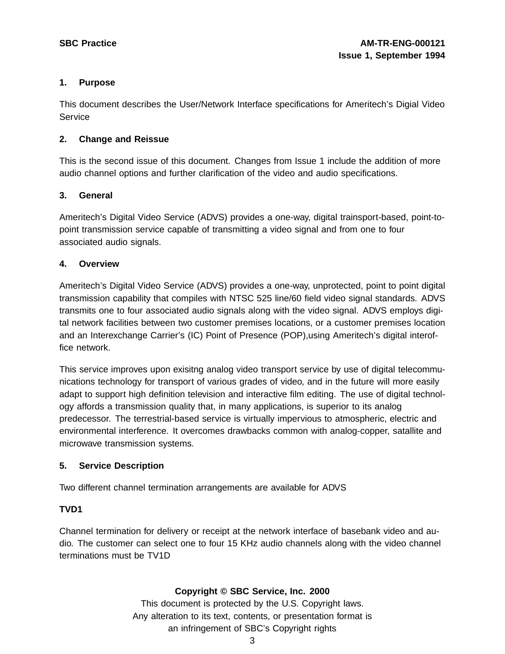#### **1. Purpose**

This document describes the User/Network Interface specifications for Ameritech's Digial Video Service

#### **2. Change and Reissue**

This is the second issue of this document. Changes from Issue 1 include the addition of more audio channel options and further clarification of the video and audio specifications.

#### **3. General**

Ameritech's Digital Video Service (ADVS) provides a one-way, digital trainsport-based, point-topoint transmission service capable of transmitting a video signal and from one to four associated audio signals.

#### **4. Overview**

Ameritech's Digital Video Service (ADVS) provides a one-way, unprotected, point to point digital transmission capability that compiles with NTSC 525 line/60 field video signal standards. ADVS transmits one to four associated audio signals along with the video signal. ADVS employs digital network facilities between two customer premises locations, or a customer premises location and an Interexchange Carrier's (IC) Point of Presence (POP),using Ameritech's digital interoffice network.

This service improves upon exisitng analog video transport service by use of digital telecommunications technology for transport of various grades of video, and in the future will more easily adapt to support high definition television and interactive film editing. The use of digital technology affords a transmission quality that, in many applications, is superior to its analog predecessor. The terrestrial-based service is virtually impervious to atmospheric, electric and environmental interference. It overcomes drawbacks common with analog-copper, satallite and microwave transmission systems.

#### **5. Service Description**

Two different channel termination arrangements are available for ADVS

## **TVD1**

Channel termination for delivery or receipt at the network interface of basebank video and audio. The customer can select one to four 15 KHz audio channels along with the video channel terminations must be TV1D

#### **Copyright © SBC Service, Inc. 2000**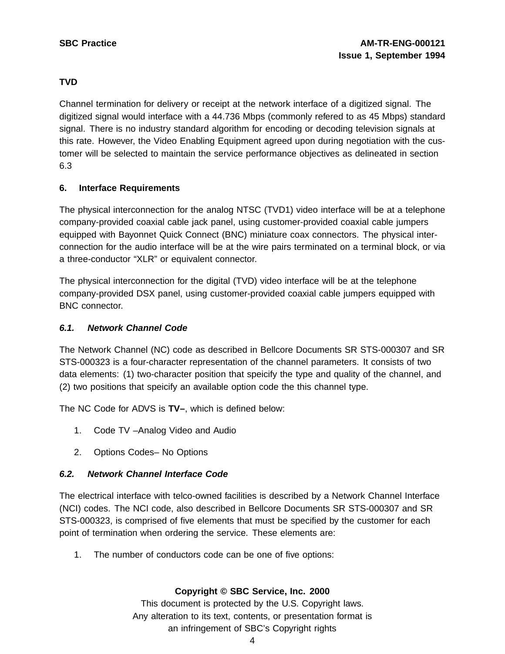## **TVD**

Channel termination for delivery or receipt at the network interface of a digitized signal. The digitized signal would interface with a 44.736 Mbps (commonly refered to as 45 Mbps) standard signal. There is no industry standard algorithm for encoding or decoding television signals at this rate. However, the Video Enabling Equipment agreed upon during negotiation with the customer will be selected to maintain the service performance objectives as delineated in section 6.3

## **6. Interface Requirements**

The physical interconnection for the analog NTSC (TVD1) video interface will be at a telephone company-provided coaxial cable jack panel, using customer-provided coaxial cable jumpers equipped with Bayonnet Quick Connect (BNC) miniature coax connectors. The physical interconnection for the audio interface will be at the wire pairs terminated on a terminal block, or via a three-conductor "XLR" or equivalent connector.

The physical interconnection for the digital (TVD) video interface will be at the telephone company-provided DSX panel, using customer-provided coaxial cable jumpers equipped with BNC connector.

#### **6.1. Network Channel Code**

The Network Channel (NC) code as described in Bellcore Documents SR STS-000307 and SR STS-000323 is a four-character representation of the channel parameters. It consists of two data elements: (1) two-character position that speicify the type and quality of the channel, and (2) two positions that speicify an available option code the this channel type.

The NC Code for ADVS is **TV–**, which is defined below:

- 1. Code TV –Analog Video and Audio
- 2. Options Codes– No Options

## **6.2. Network Channel Interface Code**

The electrical interface with telco-owned facilities is described by a Network Channel Interface (NCI) codes. The NCI code, also described in Bellcore Documents SR STS-000307 and SR STS-000323, is comprised of five elements that must be specified by the customer for each point of termination when ordering the service. These elements are:

1. The number of conductors code can be one of five options:

#### **Copyright © SBC Service, Inc. 2000**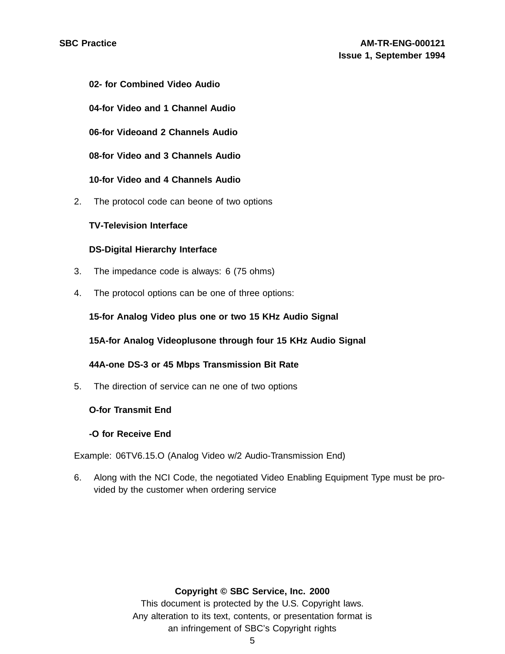**02- for Combined Video Audio**

**04-for Video and 1 Channel Audio**

**06-for Videoand 2 Channels Audio**

**08-for Video and 3 Channels Audio**

**10-for Video and 4 Channels Audio**

2. The protocol code can beone of two options

#### **TV-Television Interface**

#### **DS-Digital Hierarchy Interface**

- 3. The impedance code is always: 6 (75 ohms)
- 4. The protocol options can be one of three options:

**15-for Analog Video plus one or two 15 KHz Audio Signal**

**15A-for Analog Videoplusone through four 15 KHz Audio Signal**

#### **44A-one DS-3 or 45 Mbps Transmission Bit Rate**

5. The direction of service can ne one of two options

**O-for Transmit End**

**-O for Receive End**

Example: 06TV6.15.O (Analog Video w/2 Audio-Transmission End)

6. Along with the NCI Code, the negotiated Video Enabling Equipment Type must be provided by the customer when ordering service

#### **Copyright © SBC Service, Inc. 2000**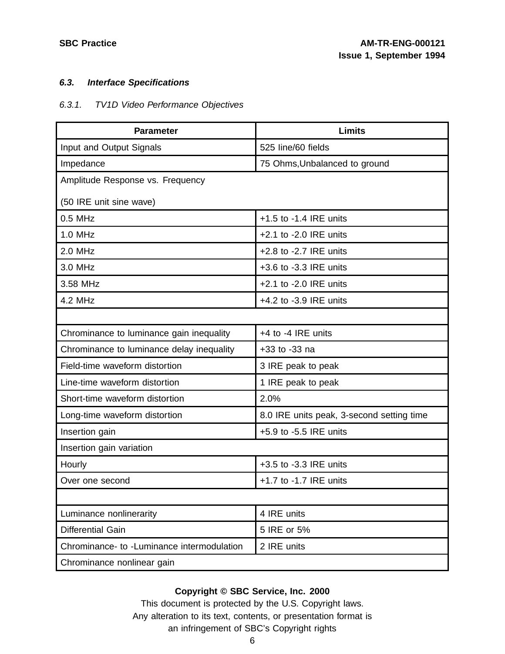## **6.3. Interface Specifications**

#### 6.3.1. TV1D Video Performance Objectives

| <b>Parameter</b>                           | <b>Limits</b>                             |  |  |  |
|--------------------------------------------|-------------------------------------------|--|--|--|
| Input and Output Signals                   | 525 line/60 fields                        |  |  |  |
| Impedance                                  | 75 Ohms, Unbalanced to ground             |  |  |  |
| Amplitude Response vs. Frequency           |                                           |  |  |  |
| (50 IRE unit sine wave)                    |                                           |  |  |  |
| $0.5$ MHz                                  | $+1.5$ to $-1.4$ IRE units                |  |  |  |
| 1.0 MHz                                    | +2.1 to -2.0 IRE units                    |  |  |  |
| 2.0 MHz                                    | $+2.8$ to $-2.7$ IRE units                |  |  |  |
| 3.0 MHz                                    | +3.6 to -3.3 IRE units                    |  |  |  |
| 3.58 MHz                                   | $+2.1$ to $-2.0$ IRE units                |  |  |  |
| 4.2 MHz                                    | +4.2 to -3.9 IRE units                    |  |  |  |
|                                            |                                           |  |  |  |
| Chrominance to luminance gain inequality   | +4 to -4 IRE units                        |  |  |  |
| Chrominance to luminance delay inequality  | $+33$ to $-33$ na                         |  |  |  |
| Field-time waveform distortion             | 3 IRE peak to peak                        |  |  |  |
| Line-time waveform distortion              | 1 IRE peak to peak                        |  |  |  |
| Short-time waveform distortion             | 2.0%                                      |  |  |  |
| Long-time waveform distortion              | 8.0 IRE units peak, 3-second setting time |  |  |  |
| Insertion gain                             | +5.9 to -5.5 IRE units                    |  |  |  |
| Insertion gain variation                   |                                           |  |  |  |
| Hourly                                     | +3.5 to -3.3 IRE units                    |  |  |  |
| Over one second                            | +1.7 to -1.7 IRE units                    |  |  |  |
|                                            |                                           |  |  |  |
| Luminance nonlinerarity                    | 4 IRE units                               |  |  |  |
| <b>Differential Gain</b>                   | 5 IRE or 5%                               |  |  |  |
| Chrominance- to -Luminance intermodulation | 2 IRE units                               |  |  |  |
| Chrominance nonlinear gain                 |                                           |  |  |  |

## **Copyright © SBC Service, Inc. 2000**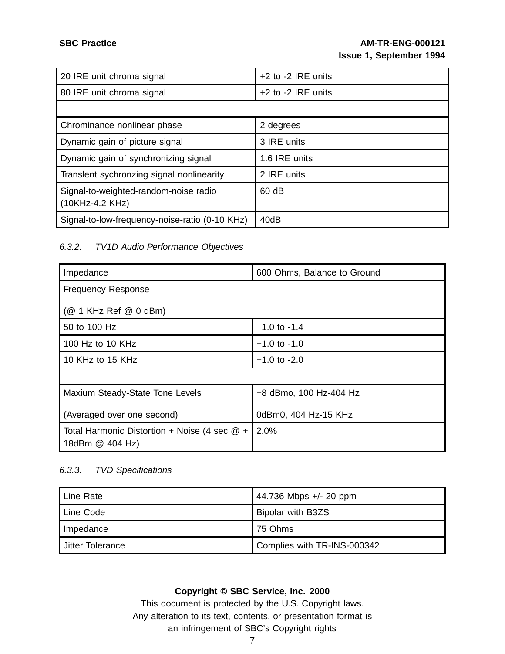## **SBC Practice AM-TR-ENG-000121 Issue 1, September 1994**

| 20 IRE unit chroma signal                                | +2 to -2 IRE units     |
|----------------------------------------------------------|------------------------|
| 80 IRE unit chroma signal                                | $+2$ to $-2$ IRE units |
|                                                          |                        |
| Chrominance nonlinear phase                              | 2 degrees              |
| Dynamic gain of picture signal                           | 3 IRE units            |
| Dynamic gain of synchronizing signal                     | 1.6 IRE units          |
| Translent sychronzing signal nonlinearity                | 2 IRE units            |
| Signal-to-weighted-random-noise radio<br>(10KHz-4.2 KHz) | 60 dB                  |
| Signal-to-low-frequency-noise-ratio (0-10 KHz)           | 40dB                   |

## 6.3.2. TV1D Audio Performance Objectives

| Impedance                                                         | 600 Ohms, Balance to Ground |  |
|-------------------------------------------------------------------|-----------------------------|--|
| <b>Frequency Response</b>                                         |                             |  |
| (@ 1 KHz Ref @ 0 dBm)                                             |                             |  |
| 50 to 100 Hz                                                      | $+1.0$ to $-1.4$            |  |
| 100 Hz to 10 KHz                                                  | $+1.0$ to $-1.0$            |  |
| 10 KHz to 15 KHz                                                  | $+1.0$ to $-2.0$            |  |
|                                                                   |                             |  |
| Maxium Steady-State Tone Levels                                   | +8 dBmo, 100 Hz-404 Hz      |  |
| (Averaged over one second)                                        | 0dBm0, 404 Hz-15 KHz        |  |
| Total Harmonic Distortion + Noise (4 sec $@ +$<br>18dBm @ 404 Hz) | 2.0%                        |  |

## 6.3.3. TVD Specifications

| Line Rate        | 44.736 Mbps $+/- 20$ ppm    |
|------------------|-----------------------------|
| Line Code        | Bipolar with B3ZS           |
| Impedance        | 75 Ohms                     |
| Jitter Tolerance | Complies with TR-INS-000342 |

## **Copyright © SBC Service, Inc. 2000**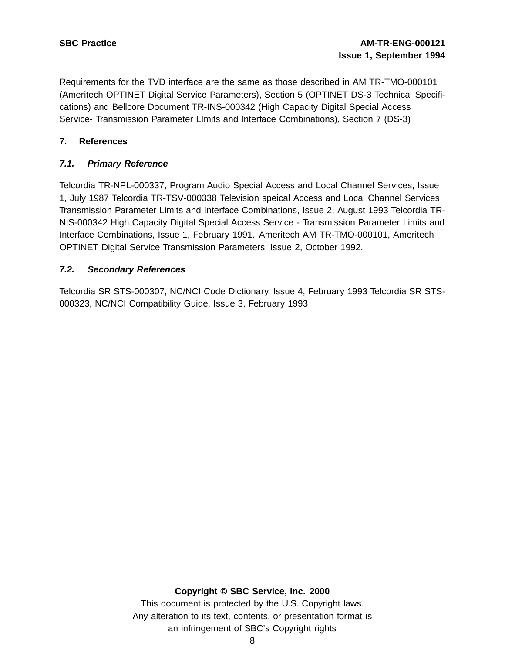Requirements for the TVD interface are the same as those described in AM TR-TMO-000101 (Ameritech OPTINET Digital Service Parameters), Section 5 (OPTINET DS-3 Technical Specifications) and Bellcore Document TR-INS-000342 (High Capacity Digital Special Access Service- Transmission Parameter LImits and Interface Combinations), Section 7 (DS-3)

#### **7. References**

#### **7.1. Primary Reference**

Telcordia TR-NPL-000337, Program Audio Special Access and Local Channel Services, Issue 1, July 1987 Telcordia TR-TSV-000338 Television speical Access and Local Channel Services Transmission Parameter Limits and Interface Combinations, Issue 2, August 1993 Telcordia TR-NIS-000342 High Capacity Digital Special Access Service - Transmission Parameter Limits and Interface Combinations, Issue 1, February 1991. Ameritech AM TR-TMO-000101, Ameritech OPTINET Digital Service Transmission Parameters, Issue 2, October 1992.

#### **7.2. Secondary References**

Telcordia SR STS-000307, NC/NCI Code Dictionary, Issue 4, February 1993 Telcordia SR STS-000323, NC/NCI Compatibility Guide, Issue 3, February 1993

#### **Copyright © SBC Service, Inc. 2000**